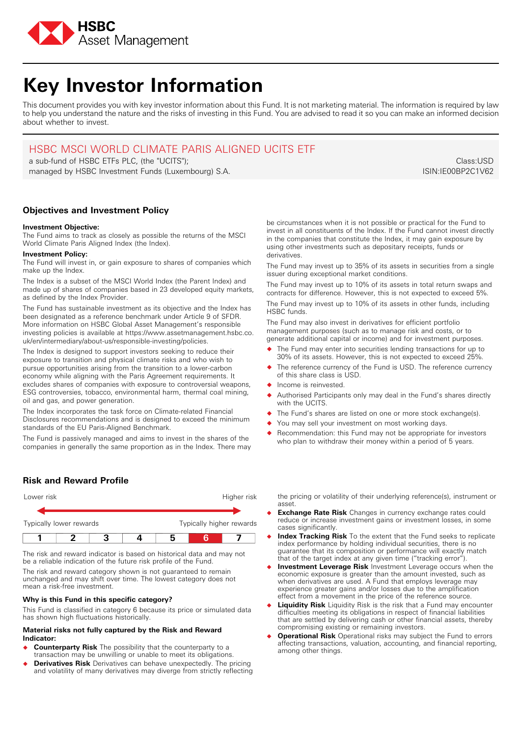

# **Key Investor Information**

This document provides you with key investor information about this Fund. It is not marketing material. The information is required by law to help you understand the nature and the risks of investing in this Fund. You are advised to read it so you can make an informed decision about whether to invest.

## HSBC MSCI WORLD CLIMATE PARIS ALIGNED UCITS ETF

a sub-fund of HSBC ETFs PLC, (the "UCITS"); managed by HSBC Investment Funds (Luxembourg) S.A.

Class:USD ISIN:IE00BP2C1V62

## **Objectives and Investment Policy**

#### **Investment Objective:**

The Fund aims to track as closely as possible the returns of the MSCI World Climate Paris Aligned Index (the Index).

#### **Investment Policy:**

The Fund will invest in, or gain exposure to shares of companies which make up the Index.

The Index is a subset of the MSCI World Index (the Parent Index) and made up of shares of companies based in 23 developed equity markets, as defined by the Index Provider.

The Fund has sustainable investment as its objective and the Index has been designated as a reference benchmark under Article 9 of SFDR. More information on HSBC Global Asset Management's responsible investing policies is available at https://www.assetmanagement.hsbc.co. uk/en/intermediary/about-us/responsible-investing/policies.

The Index is designed to support investors seeking to reduce their exposure to transition and physical climate risks and who wish to pursue opportunities arising from the transition to a lower-carbon economy while aligning with the Paris Agreement requirements. It excludes shares of companies with exposure to controversial weapons, ESG controversies, tobacco, environmental harm, thermal coal mining, oil and gas, and power generation.

The Index incorporates the task force on Climate-related Financial Disclosures recommendations and is designed to exceed the minimum standards of the EU Paris-Aligned Benchmark.

The Fund is passively managed and aims to invest in the shares of the companies in generally the same proportion as in the Index. There may

**Risk and Reward Profile**



The risk and reward indicator is based on historical data and may not be a reliable indication of the future risk profile of the Fund.

The risk and reward category shown is not guaranteed to remain unchanged and may shift over time. The lowest category does not mean a risk-free investment.

## **Why is this Fund in this specific category?**

This Fund is classified in category 6 because its price or simulated data has shown high fluctuations historically.

## **Material risks not fully captured by the Risk and Reward Indicator:**

- � **Counterparty Risk** The possibility that the counterparty to a transaction may be unwilling or unable to meet its obligations.
- **Derivatives Risk** Derivatives can behave unexpectedly. The pricing and volatility of many derivatives may diverge from strictly reflecting

be circumstances when it is not possible or practical for the Fund to invest in all constituents of the Index. If the Fund cannot invest directly in the companies that constitute the Index, it may gain exposure by using other investments such as depositary receipts, funds or derivatives.

The Fund may invest up to 35% of its assets in securities from a single issuer during exceptional market conditions.

The Fund may invest up to 10% of its assets in total return swaps and contracts for difference. However, this is not expected to exceed 5%. The Fund may invest up to 10% of its assets in other funds, including HSBC funds.

The Fund may also invest in derivatives for efficient portfolio management purposes (such as to manage risk and costs, or to generate additional capital or income) and for investment purposes.

- � The Fund may enter into securities lending transactions for up to 30% of its assets. However, this is not expected to exceed 25%.
- The reference currency of the Fund is USD. The reference currency of this share class is USD.
- � Income is reinvested.
- Authorised Participants only may deal in the Fund's shares directly with the UCITS.
- � The Fund's shares are listed on one or more stock exchange(s).
- You may sell your investment on most working days.
- � Recommendation: this Fund may not be appropriate for investors who plan to withdraw their money within a period of 5 years.

the pricing or volatility of their underlying reference(s), instrument or asset.

- � **Exchange Rate Risk** Changes in currency exchange rates could reduce or increase investment gains or investment losses, in some cases significantly.
- � **Index Tracking Risk** To the extent that the Fund seeks to replicate index performance by holding individual securities, there is no guarantee that its composition or performance will exactly match that of the target index at any given time ("tracking error").
- � **Investment Leverage Risk** Investment Leverage occurs when the economic exposure is greater than the amount invested, such as when derivatives are used. A Fund that employs leverage may experience greater gains and/or losses due to the amplification effect from a movement in the price of the reference source.
- � **Liquidity Risk** Liquidity Risk is the risk that a Fund may encounter difficulties meeting its obligations in respect of financial liabilities that are settled by delivering cash or other financial assets, thereby compromising existing or remaining investors.
- � **Operational Risk** Operational risks may subject the Fund to errors affecting transactions, valuation, accounting, and financial reporting, among other things.